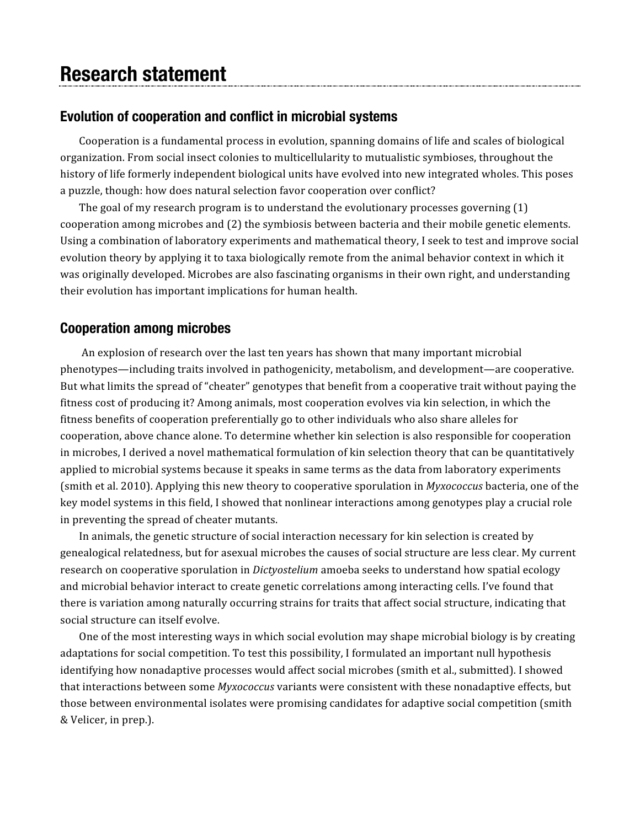# **Research statement**

## **Evolution of cooperation and conflict in microbial systems**

Cooperation is a fundamental process in evolution, spanning domains of life and scales of biological organization. From
social
insect
colonies
to
multicellularity
to mutualistic
symbioses,
throughout
the history of life formerly independent biological units have evolved into new integrated wholes. This poses a puzzle, though: how does natural selection favor cooperation over conflict?

The goal of my research program is to understand the evolutionary processes governing (1) cooperation
among
microbes
and
(2)
the
symbiosis
between
bacteria
and
their
mobile
genetic
elements. Using a combination of laboratory experiments and mathematical theory, I seek to test and improve social evolution
theory
by
applying
it
to
taxa
biologically
remote
from
the
animal
behavior
context
in
which
it was originally developed. Microbes are also fascinating organisms in their own right, and understanding their
evolution
has
important
implications
for
human
health.

# **Cooperation among microbes**

An explosion of research over the last ten years has shown that many important microbial phenotypes—including
traits
involved
in
pathogenicity,
metabolism,
and
development—are
cooperative. But what limits the spread of "cheater" genotypes that benefit from a cooperative trait without paying the fitness cost of producing it? Among animals, most cooperation evolves via kin selection, in which the fitness benefits of cooperation preferentially go to other individuals who also share alleles for cooperation,
above
chance
alone. To
determine
whether
kin
selection
is
also
responsible
for
cooperation in
microbes,
I derived
a
novel mathematical
formulation
of
kin
selection
theory that can
be
quantitatively applied
to
microbial
systems
because
it
speaks
in
same
terms
as
the
data
from
laboratory experiments (smith et al. 2010). Applying this new theory to cooperative sporulation in *Myxococcus* bacteria, one of the key model systems in this field, I showed that nonlinear interactions among genotypes play a crucial role in
preventing
the
spread
of
cheater
mutants.

In
animals,
the
genetic
structure
of
social
interaction
necessary
for
kin
selection
is
created
by genealogical
relatedness,
but
for
asexual
microbes
the
causes
of
social
structure
are
less
clear.
My
current research on cooperative sporulation in *Dictyostelium* amoeba seeks to understand how spatial ecology and microbial behavior interact to create genetic correlations among interacting cells. I've found that there is variation among naturally occurring strains for traits that affect social structure, indicating that social
structure
can
itself
evolve.

One of the most interesting ways in which social evolution may shape microbial biology is by creating adaptations
for
social
competition.
To
test
this
possibility,
I
formulated
an
important
null
hypothesis identifying
how
nonadaptive
processes
would affect
social
microbes (smith
et
al.,
submitted).
I showed that interactions between some *Myxococcus* variants were consistent with these nonadaptive effects, but those
between
environmental isolates
were
promising candidates
for
adaptive
social
competition (smith &
Velicer,
in
prep.).